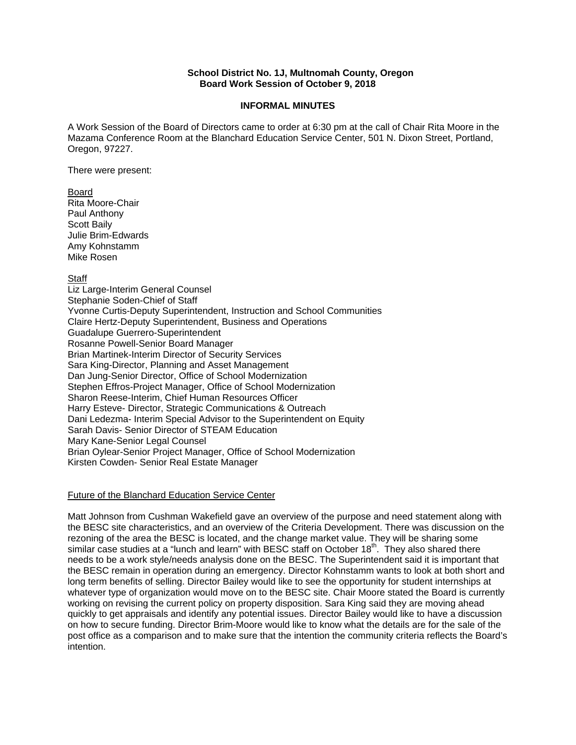## **School District No. 1J, Multnomah County, Oregon Board Work Session of October 9, 2018**

#### **INFORMAL MINUTES**

A Work Session of the Board of Directors came to order at 6:30 pm at the call of Chair Rita Moore in the Mazama Conference Room at the Blanchard Education Service Center, 501 N. Dixon Street, Portland, Oregon, 97227.

There were present:

Board Rita Moore-Chair Paul Anthony Scott Baily Julie Brim-Edwards Amy Kohnstamm Mike Rosen

## Staff

Liz Large-Interim General Counsel Stephanie Soden-Chief of Staff Yvonne Curtis-Deputy Superintendent, Instruction and School Communities Claire Hertz-Deputy Superintendent, Business and Operations Guadalupe Guerrero-Superintendent Rosanne Powell-Senior Board Manager Brian Martinek-Interim Director of Security Services Sara King-Director, Planning and Asset Management Dan Jung-Senior Director, Office of School Modernization Stephen Effros-Project Manager, Office of School Modernization Sharon Reese-Interim, Chief Human Resources Officer Harry Esteve- Director, Strategic Communications & Outreach Dani Ledezma- Interim Special Advisor to the Superintendent on Equity Sarah Davis- Senior Director of STEAM Education Mary Kane-Senior Legal Counsel Brian Oylear-Senior Project Manager, Office of School Modernization Kirsten Cowden- Senior Real Estate Manager

### Future of the Blanchard Education Service Center

Matt Johnson from Cushman Wakefield gave an overview of the purpose and need statement along with the BESC site characteristics, and an overview of the Criteria Development. There was discussion on the rezoning of the area the BESC is located, and the change market value. They will be sharing some similar case studies at a "lunch and learn" with BESC staff on October  $18<sup>th</sup>$ . They also shared there needs to be a work style/needs analysis done on the BESC. The Superintendent said it is important that the BESC remain in operation during an emergency. Director Kohnstamm wants to look at both short and long term benefits of selling. Director Bailey would like to see the opportunity for student internships at whatever type of organization would move on to the BESC site. Chair Moore stated the Board is currently working on revising the current policy on property disposition. Sara King said they are moving ahead quickly to get appraisals and identify any potential issues. Director Bailey would like to have a discussion on how to secure funding. Director Brim-Moore would like to know what the details are for the sale of the post office as a comparison and to make sure that the intention the community criteria reflects the Board's intention.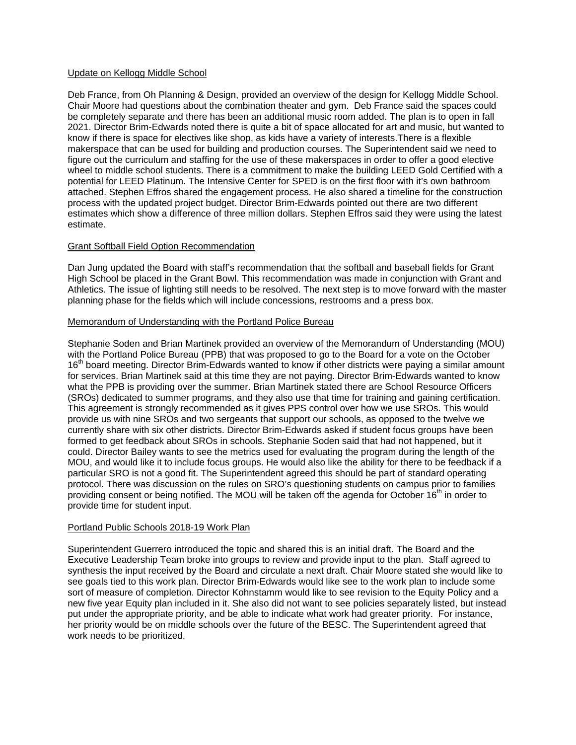## Update on Kellogg Middle School

Deb France, from Oh Planning & Design, provided an overview of the design for Kellogg Middle School. Chair Moore had questions about the combination theater and gym. Deb France said the spaces could be completely separate and there has been an additional music room added. The plan is to open in fall 2021. Director Brim-Edwards noted there is quite a bit of space allocated for art and music, but wanted to know if there is space for electives like shop, as kids have a variety of interests.There is a flexible makerspace that can be used for building and production courses. The Superintendent said we need to figure out the curriculum and staffing for the use of these makerspaces in order to offer a good elective wheel to middle school students. There is a commitment to make the building LEED Gold Certified with a potential for LEED Platinum. The Intensive Center for SPED is on the first floor with it's own bathroom attached. Stephen Effros shared the engagement process. He also shared a timeline for the construction process with the updated project budget. Director Brim-Edwards pointed out there are two different estimates which show a difference of three million dollars. Stephen Effros said they were using the latest estimate.

## Grant Softball Field Option Recommendation

Dan Jung updated the Board with staff's recommendation that the softball and baseball fields for Grant High School be placed in the Grant Bowl. This recommendation was made in conjunction with Grant and Athletics. The issue of lighting still needs to be resolved. The next step is to move forward with the master planning phase for the fields which will include concessions, restrooms and a press box.

### Memorandum of Understanding with the Portland Police Bureau

Stephanie Soden and Brian Martinek provided an overview of the Memorandum of Understanding (MOU) with the Portland Police Bureau (PPB) that was proposed to go to the Board for a vote on the October 16<sup>th</sup> board meeting. Director Brim-Edwards wanted to know if other districts were paying a similar amount for services. Brian Martinek said at this time they are not paying. Director Brim-Edwards wanted to know what the PPB is providing over the summer. Brian Martinek stated there are School Resource Officers (SROs) dedicated to summer programs, and they also use that time for training and gaining certification. This agreement is strongly recommended as it gives PPS control over how we use SROs. This would provide us with nine SROs and two sergeants that support our schools, as opposed to the twelve we currently share with six other districts. Director Brim-Edwards asked if student focus groups have been formed to get feedback about SROs in schools. Stephanie Soden said that had not happened, but it could. Director Bailey wants to see the metrics used for evaluating the program during the length of the MOU, and would like it to include focus groups. He would also like the ability for there to be feedback if a particular SRO is not a good fit. The Superintendent agreed this should be part of standard operating protocol. There was discussion on the rules on SRO's questioning students on campus prior to families providing consent or being notified. The MOU will be taken off the agenda for October  $16<sup>th</sup>$  in order to provide time for student input.

### Portland Public Schools 2018-19 Work Plan

Superintendent Guerrero introduced the topic and shared this is an initial draft. The Board and the Executive Leadership Team broke into groups to review and provide input to the plan. Staff agreed to synthesis the input received by the Board and circulate a next draft. Chair Moore stated she would like to see goals tied to this work plan. Director Brim-Edwards would like see to the work plan to include some sort of measure of completion. Director Kohnstamm would like to see revision to the Equity Policy and a new five year Equity plan included in it. She also did not want to see policies separately listed, but instead put under the appropriate priority, and be able to indicate what work had greater priority. For instance, her priority would be on middle schools over the future of the BESC. The Superintendent agreed that work needs to be prioritized.